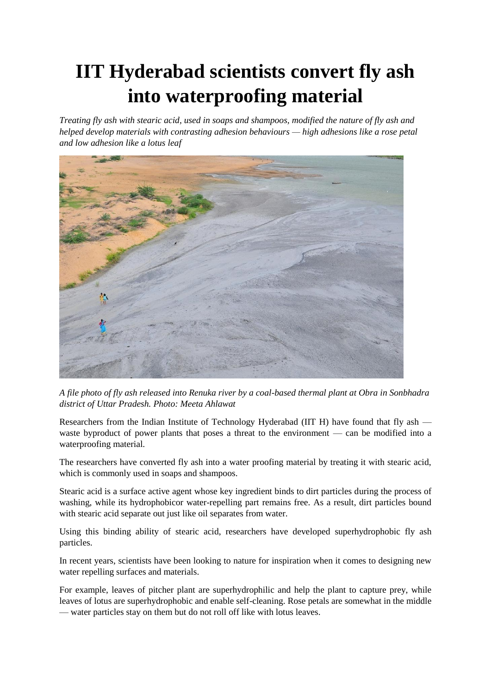## **IIT Hyderabad scientists convert fly ash into waterproofing material**

*Treating fly ash with stearic acid, used in soaps and shampoos, modified the nature of fly ash and helped develop materials with contrasting adhesion behaviours — high adhesions like a rose petal and low adhesion like a lotus leaf*



*A file photo of fly ash released into Renuka river by a coal-based thermal plant at Obra in Sonbhadra district of Uttar Pradesh. Photo: Meeta Ahlawat*

Researchers from the Indian Institute of Technology Hyderabad (IIT H) have found that fly ash waste byproduct of power plants that poses a threat to the environment — can be modified into a waterproofing material.

The researchers have converted fly ash into a water proofing material by treating it with stearic acid, which is commonly used in soaps and shampoos.

Stearic acid is a surface active agent whose key ingredient binds to dirt particles during the process of washing, while its hydrophobicor water-repelling part remains free. As a result, dirt particles bound with stearic acid separate out just like oil separates from water.

Using this binding ability of stearic acid, researchers have developed superhydrophobic fly ash particles.

In recent years, scientists have been looking to nature for inspiration when it comes to designing new water repelling surfaces and materials.

For example, leaves of pitcher plant are superhydrophilic and help the plant to capture prey, while leaves of lotus are superhydrophobic and enable self-cleaning. Rose petals are somewhat in the middle — water particles stay on them but do not roll off like with lotus leaves.